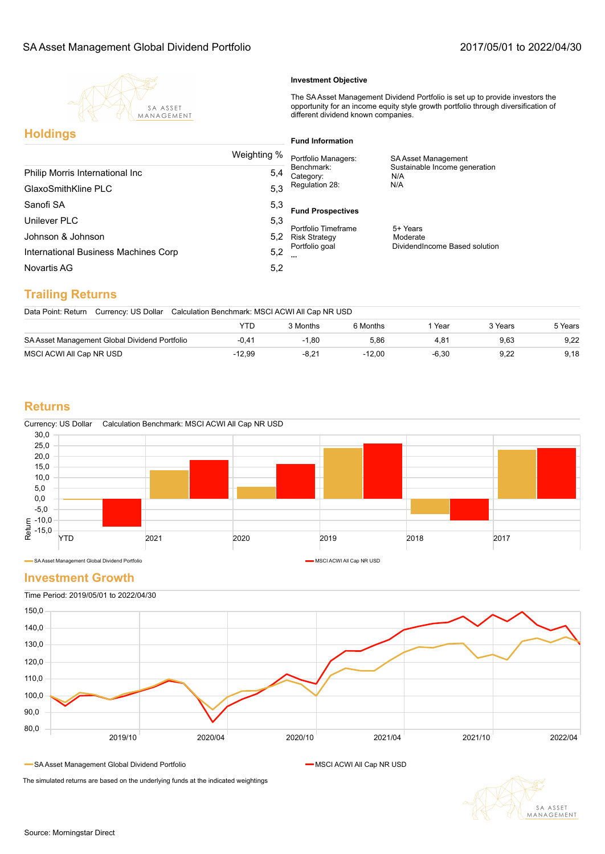

#### **Investment Objective**

The SA Asset Management Dividend Portfolio is set up to provide investors the opportunity for an income equity style growth portfolio through diversification of different dividend known companies.

## **Holdings**

#### **Fund Information**

| Weighting %                          |     | Portfolio Managers:                                | SA Asset Management                  |  |  |
|--------------------------------------|-----|----------------------------------------------------|--------------------------------------|--|--|
| Philip Morris International Inc      | 5,4 | Benchmark:<br>Category:                            | Sustainable Income generation<br>N/A |  |  |
| GlaxoSmithKline PLC                  | 5,3 | Regulation 28:                                     | N/A                                  |  |  |
| Sanofi SA                            | 5,3 | <b>Fund Prospectives</b>                           |                                      |  |  |
| Unilever PLC                         | 5.3 | Portfolio Timeframe                                | 5+ Years                             |  |  |
| Johnson & Johnson                    | 5.2 | <b>Risk Strategy</b><br>Portfolio goal<br>$\cdots$ | Moderate                             |  |  |
| International Business Machines Corp | 5,2 |                                                    | DividendIncome Based solution        |  |  |
| Novartis AG                          | 5,2 |                                                    |                                      |  |  |
|                                      |     |                                                    |                                      |  |  |

# **Trailing Returns**

Data Point: Return Currency: US Dollar Calculation Benchmark: MSCI ACWI All Cap NR USD YTD 3 Months 6 Months 1 Year 3 Years 5 Years

| SA Asset Management Global Dividend Portfolio |       | .80 | 86.ر |  | 9.22 |
|-----------------------------------------------|-------|-----|------|--|------|
| MSCI ACWI All Cap NR USD                      | 12.99 |     |      |  | 9.18 |

#### **Returns**



SA Asset Management Global Dividend Portfolio MSCI ACWI All Cap NR USD ACWI All Cap NR USD

#### **Investment Growth**



SA Asset Management Global Dividend Portfolio MSCI ACWI All Cap NR USD MSCI ACWI All Cap NR USD

The simulated returns are based on the underlying funds at the indicated weightings